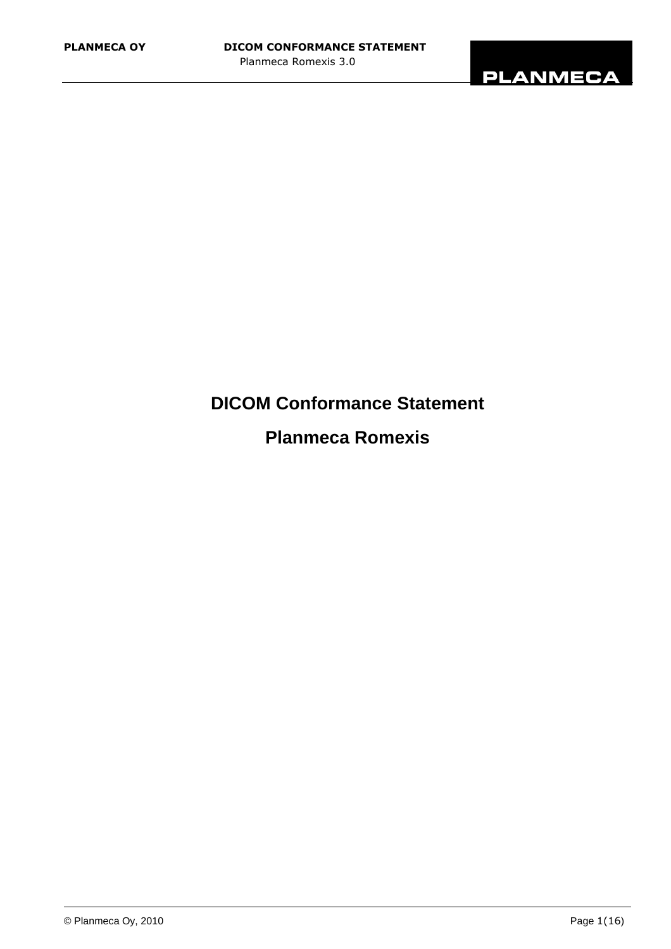

# **DICOM Conformance Statement**

# **Planmeca Romexis**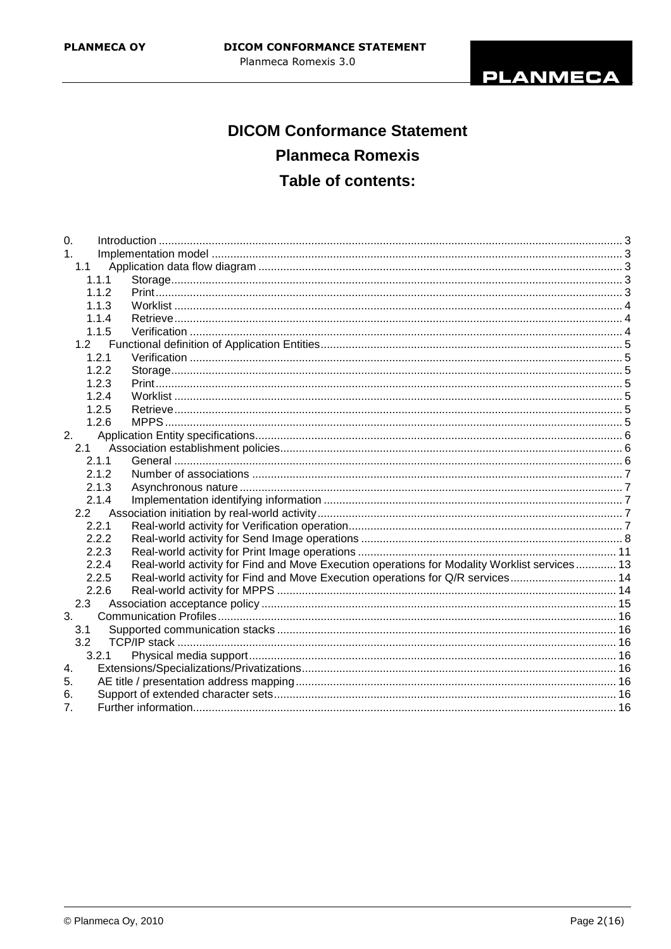

# **DICOM Conformance Statement Planmeca Romexis** Table of contents:

| 0.               |       |                                                                                              |  |
|------------------|-------|----------------------------------------------------------------------------------------------|--|
| 1.               |       |                                                                                              |  |
| 1.1              |       |                                                                                              |  |
|                  | 1.1.1 |                                                                                              |  |
|                  | 1.1.2 |                                                                                              |  |
|                  | 1.1.3 |                                                                                              |  |
|                  | 1.1.4 |                                                                                              |  |
|                  | 1.1.5 |                                                                                              |  |
|                  |       |                                                                                              |  |
|                  | 1.2.1 |                                                                                              |  |
|                  | 1.2.2 |                                                                                              |  |
|                  | 1.2.3 |                                                                                              |  |
|                  | 1.2.4 |                                                                                              |  |
|                  | 1.2.5 |                                                                                              |  |
|                  | 1.2.6 |                                                                                              |  |
| 2.               |       |                                                                                              |  |
| 2.1              |       |                                                                                              |  |
|                  | 2.1.1 |                                                                                              |  |
|                  | 2.1.2 |                                                                                              |  |
|                  | 2.1.3 |                                                                                              |  |
|                  | 2.1.4 |                                                                                              |  |
|                  |       |                                                                                              |  |
|                  | 2.2.1 |                                                                                              |  |
|                  | 2.2.2 |                                                                                              |  |
|                  | 2.2.3 |                                                                                              |  |
|                  | 2.2.4 | Real-world activity for Find and Move Execution operations for Modality Worklist services 13 |  |
|                  | 2.2.5 | Real-world activity for Find and Move Execution operations for Q/R services 14               |  |
|                  | 2.2.6 |                                                                                              |  |
| 2.3              |       |                                                                                              |  |
| 3.               |       |                                                                                              |  |
| 3.1              |       |                                                                                              |  |
| 3.2              |       |                                                                                              |  |
|                  | 3.2.1 |                                                                                              |  |
| $\overline{4}$ . |       |                                                                                              |  |
| 5.               |       |                                                                                              |  |
| 6.               |       |                                                                                              |  |
| $\overline{7}$ . |       |                                                                                              |  |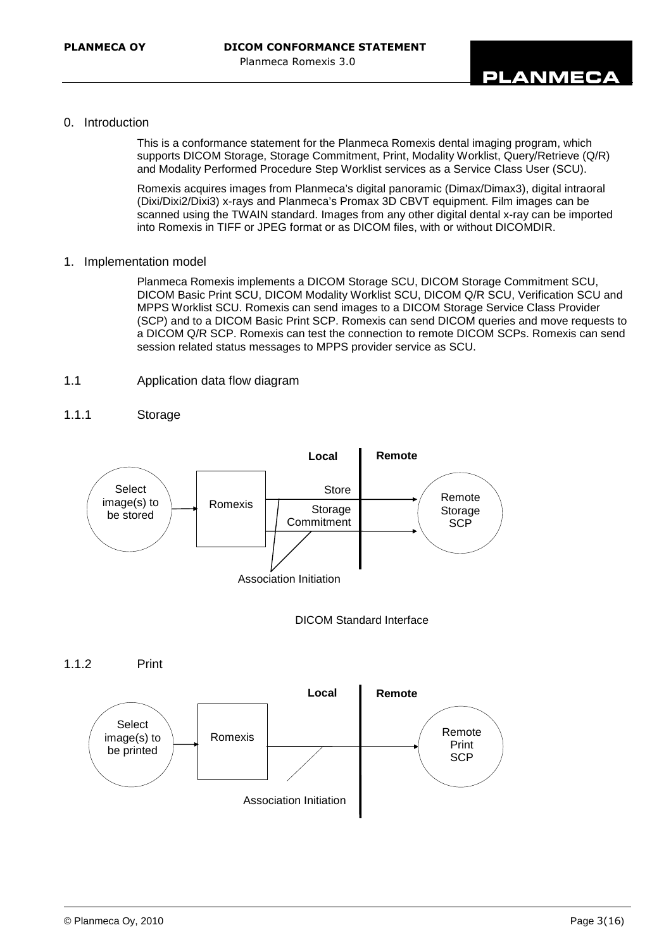#### 0. Introduction

This is a conformance statement for the Planmeca Romexis dental imaging program, which supports DICOM Storage, Storage Commitment, Print, Modality Worklist, Query/Retrieve (Q/R) and Modality Performed Procedure Step Worklist services as a Service Class User (SCU).

Romexis acquires images from Planmeca's digital panoramic (Dimax/Dimax3), digital intraoral (Dixi/Dixi2/Dixi3) x-rays and Planmeca's Promax 3D CBVT equipment. Film images can be scanned using the TWAIN standard. Images from any other digital dental x-ray can be imported into Romexis in TIFF or JPEG format or as DICOM files, with or without DICOMDIR.

1. Implementation model

Planmeca Romexis implements a DICOM Storage SCU, DICOM Storage Commitment SCU, DICOM Basic Print SCU, DICOM Modality Worklist SCU, DICOM Q/R SCU, Verification SCU and MPPS Worklist SCU. Romexis can send images to a DICOM Storage Service Class Provider (SCP) and to a DICOM Basic Print SCP. Romexis can send DICOM queries and move requests to a DICOM Q/R SCP. Romexis can test the connection to remote DICOM SCPs. Romexis can send session related status messages to MPPS provider service as SCU.

#### 1.1 Application data flow diagram

## 1.1.1 Storage





1.1.2 Print

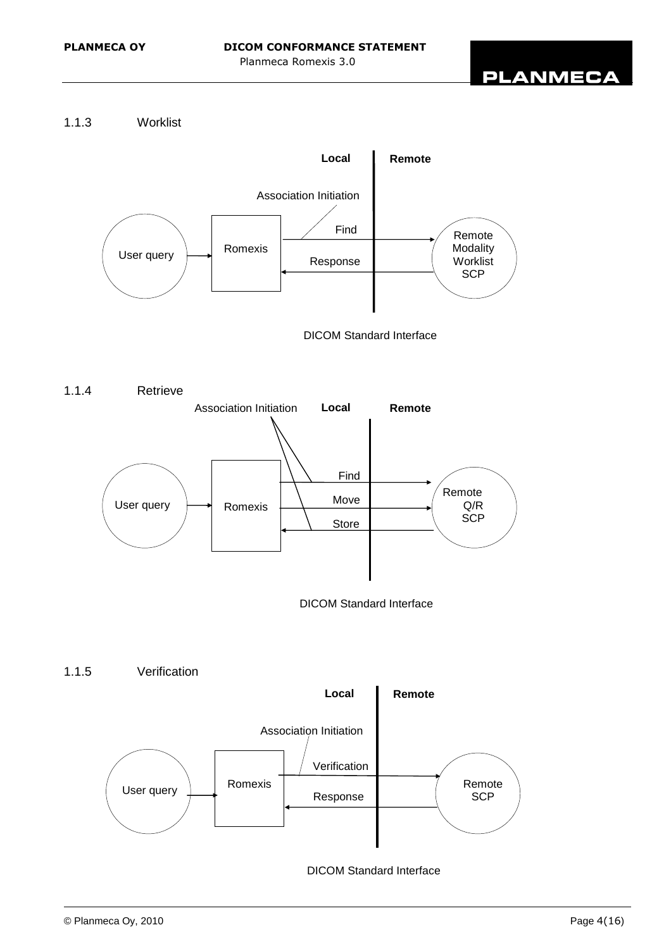# 1.1.3 Worklist



DICOM Standard Interface



DICOM Standard Interface

1.1.5 Verification

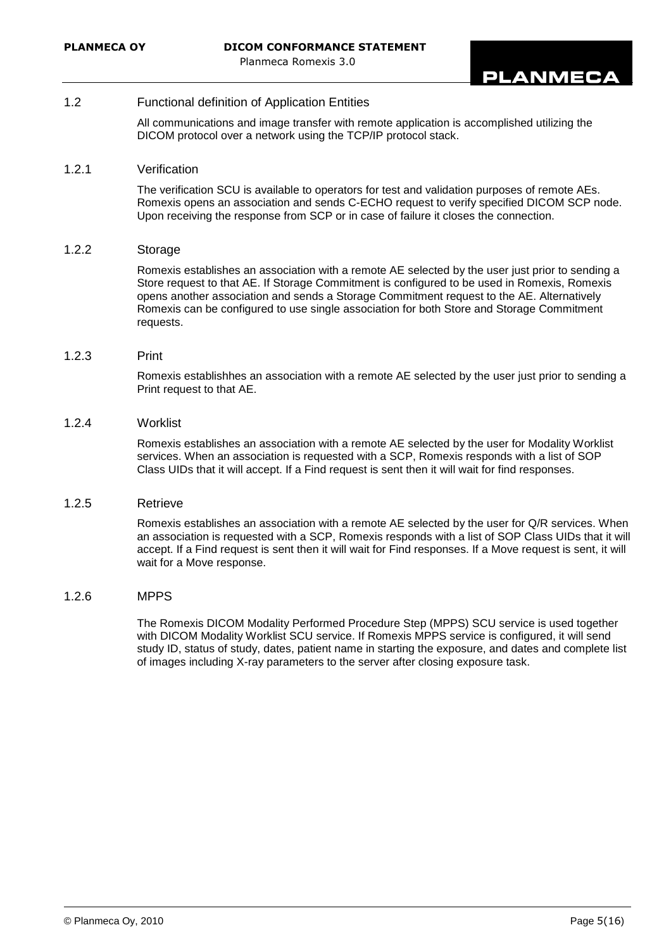#### 1.2 Functional definition of Application Entities

All communications and image transfer with remote application is accomplished utilizing the DICOM protocol over a network using the TCP/IP protocol stack.

### 1.2.1 Verification

The verification SCU is available to operators for test and validation purposes of remote AEs. Romexis opens an association and sends C-ECHO request to verify specified DICOM SCP node. Upon receiving the response from SCP or in case of failure it closes the connection.

#### 1.2.2 Storage

Romexis establishes an association with a remote AE selected by the user just prior to sending a Store request to that AE. If Storage Commitment is configured to be used in Romexis, Romexis opens another association and sends a Storage Commitment request to the AE. Alternatively Romexis can be configured to use single association for both Store and Storage Commitment requests.

#### 1.2.3 Print

Romexis establishhes an association with a remote AE selected by the user just prior to sending a Print request to that AE.

#### 1.2.4 Worklist

Romexis establishes an association with a remote AE selected by the user for Modality Worklist services. When an association is requested with a SCP, Romexis responds with a list of SOP Class UIDs that it will accept. If a Find request is sent then it will wait for find responses.

#### 1.2.5 Retrieve

Romexis establishes an association with a remote AE selected by the user for Q/R services. When an association is requested with a SCP, Romexis responds with a list of SOP Class UIDs that it will accept. If a Find request is sent then it will wait for Find responses. If a Move request is sent, it will wait for a Move response.

#### 1.2.6 MPPS

The Romexis DICOM Modality Performed Procedure Step (MPPS) SCU service is used together with DICOM Modality Worklist SCU service. If Romexis MPPS service is configured, it will send study ID, status of study, dates, patient name in starting the exposure, and dates and complete list of images including X-ray parameters to the server after closing exposure task.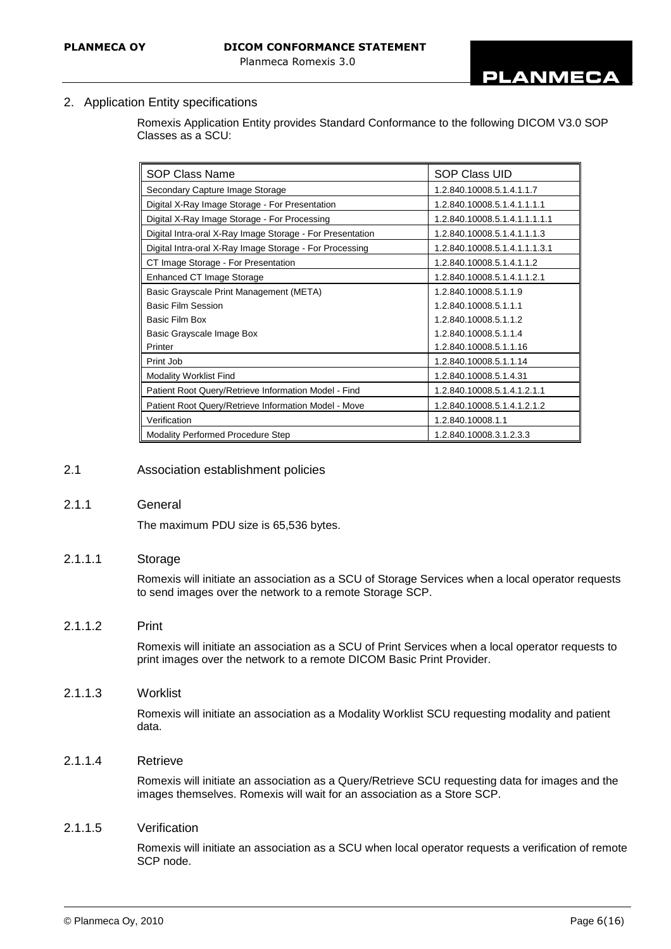2. Application Entity specifications

Romexis Application Entity provides Standard Conformance to the following DICOM V3.0 SOP Classes as a SCU:

| SOP Class Name                                            | SOP Class UID                 |  |  |
|-----------------------------------------------------------|-------------------------------|--|--|
| Secondary Capture Image Storage                           | 1.2.840.10008.5.1.4.1.1.7     |  |  |
| Digital X-Ray Image Storage - For Presentation            | 1.2.840.10008.5.1.4.1.1.1.1   |  |  |
| Digital X-Ray Image Storage - For Processing              | 1.2.840.10008.5.1.4.1.1.1.1.1 |  |  |
| Digital Intra-oral X-Ray Image Storage - For Presentation | 1.2.840.10008.5.1.4.1.1.1.3   |  |  |
| Digital Intra-oral X-Ray Image Storage - For Processing   | 1.2.840.10008.5.1.4.1.1.1.3.1 |  |  |
| CT Image Storage - For Presentation                       | 1.2.840.10008.5.1.4.1.1.2     |  |  |
| Enhanced CT Image Storage                                 | 1.2.840.10008.5.1.4.1.1.2.1   |  |  |
| Basic Grayscale Print Management (META)                   | 1.2.840.10008.5.1.1.9         |  |  |
| <b>Basic Film Session</b>                                 | 1.2.840.10008.5.1.1.1         |  |  |
| Basic Film Box                                            | 1.2.840.10008.5.1.1.2         |  |  |
| Basic Grayscale Image Box                                 | 1.2.840.10008.5.1.1.4         |  |  |
| Printer                                                   | 1.2.840.10008.5.1.1.16        |  |  |
| Print Job                                                 | 1.2.840.10008.5.1.1.14        |  |  |
| <b>Modality Worklist Find</b>                             | 1.2.840.10008.5.1.4.31        |  |  |
| Patient Root Query/Retrieve Information Model - Find      | 1.2.840.10008.5.1.4.1.2.1.1   |  |  |
| Patient Root Query/Retrieve Information Model - Move      | 1.2.840.10008.5.1.4.1.2.1.2   |  |  |
| Verification                                              | 1.2.840.10008.1.1             |  |  |
| <b>Modality Performed Procedure Step</b>                  | 1.2.840.10008.3.1.2.3.3       |  |  |

#### 2.1 Association establishment policies

#### 2.1.1 General

The maximum PDU size is 65,536 bytes.

#### 2.1.1.1 Storage

Romexis will initiate an association as a SCU of Storage Services when a local operator requests to send images over the network to a remote Storage SCP.

#### 2.1.1.2 Print

Romexis will initiate an association as a SCU of Print Services when a local operator requests to print images over the network to a remote DICOM Basic Print Provider.

#### 2.1.1.3 Worklist

Romexis will initiate an association as a Modality Worklist SCU requesting modality and patient data.

# 2.1.1.4 Retrieve

Romexis will initiate an association as a Query/Retrieve SCU requesting data for images and the images themselves. Romexis will wait for an association as a Store SCP.

### 2.1.1.5 Verification

Romexis will initiate an association as a SCU when local operator requests a verification of remote SCP node.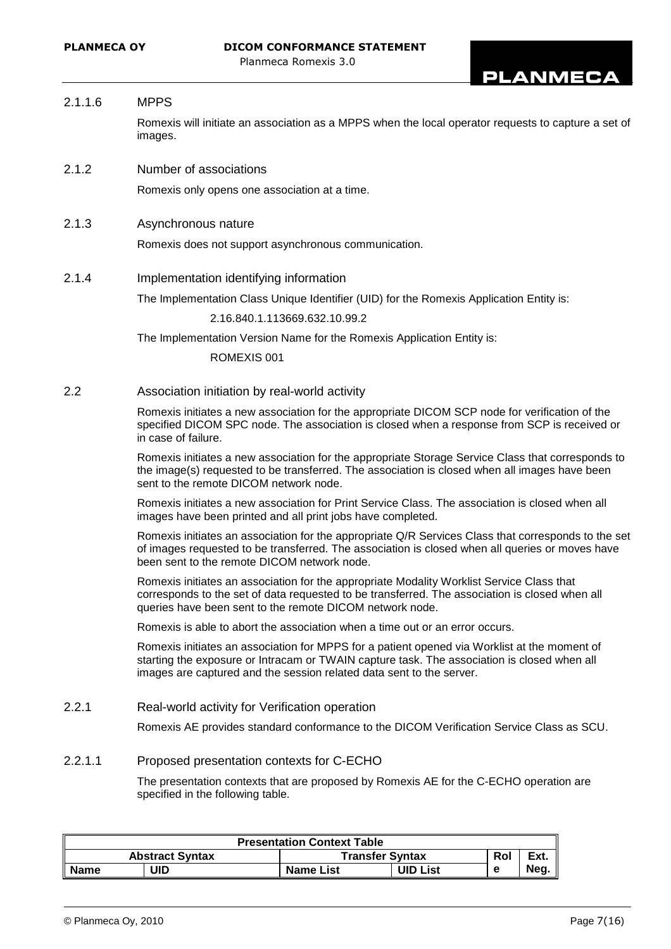#### 2.1.1.6 MPPS

Romexis will initiate an association as a MPPS when the local operator requests to capture a set of images.

2.1.2 Number of associations

Romexis only opens one association at a time.

2.1.3 Asynchronous nature

Romexis does not support asynchronous communication.

2.1.4 Implementation identifying information

The Implementation Class Unique Identifier (UID) for the Romexis Application Entity is:

2.16.840.1.113669.632.10.99.2

The Implementation Version Name for the Romexis Application Entity is:

ROMEXIS 001

2.2 Association initiation by real-world activity

Romexis initiates a new association for the appropriate DICOM SCP node for verification of the specified DICOM SPC node. The association is closed when a response from SCP is received or in case of failure.

Romexis initiates a new association for the appropriate Storage Service Class that corresponds to the image(s) requested to be transferred. The association is closed when all images have been sent to the remote DICOM network node.

Romexis initiates a new association for Print Service Class. The association is closed when all images have been printed and all print jobs have completed.

Romexis initiates an association for the appropriate Q/R Services Class that corresponds to the set of images requested to be transferred. The association is closed when all queries or moves have been sent to the remote DICOM network node.

Romexis initiates an association for the appropriate Modality Worklist Service Class that corresponds to the set of data requested to be transferred. The association is closed when all queries have been sent to the remote DICOM network node.

Romexis is able to abort the association when a time out or an error occurs.

Romexis initiates an association for MPPS for a patient opened via Worklist at the moment of starting the exposure or Intracam or TWAIN capture task. The association is closed when all images are captured and the session related data sent to the server.

2.2.1 Real-world activity for Verification operation

Romexis AE provides standard conformance to the DICOM Verification Service Class as SCU.

### 2.2.1.1 Proposed presentation contexts for C-ECHO

The presentation contexts that are proposed by Romexis AE for the C-ECHO operation are specified in the following table.

| <b>Presentation Context Table</b> |                        |                        |                 |     |      |  |  |
|-----------------------------------|------------------------|------------------------|-----------------|-----|------|--|--|
|                                   | <b>Abstract Syntax</b> | <b>Transfer Syntax</b> |                 | Rol | Ext. |  |  |
| <b>Name</b>                       | JID                    | <b>Name List</b>       | <b>UID List</b> |     | Neg. |  |  |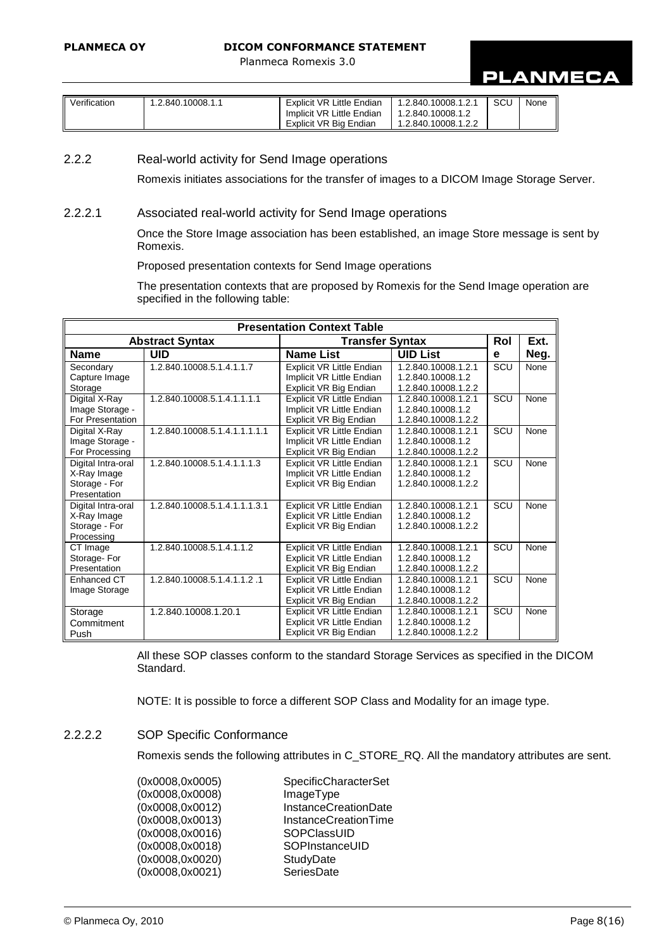# **PLANMECA**

| Implicit VR Little Endian<br>1.2.840.10008.1.2<br>Explicit VR Big Endian<br>1.2.840.10008.1.2.2 | <b>SCL</b> | None |
|-------------------------------------------------------------------------------------------------|------------|------|
|-------------------------------------------------------------------------------------------------|------------|------|

# 2.2.2 Real-world activity for Send Image operations

Romexis initiates associations for the transfer of images to a DICOM Image Storage Server.

#### 2.2.2.1 Associated real-world activity for Send Image operations

Once the Store Image association has been established, an image Store message is sent by Romexis.

### Proposed presentation contexts for Send Image operations

The presentation contexts that are proposed by Romexis for the Send Image operation are specified in the following table:

|                    | <b>Presentation Context Table</b> |                                     |                     |     |      |  |  |  |
|--------------------|-----------------------------------|-------------------------------------|---------------------|-----|------|--|--|--|
|                    | <b>Abstract Syntax</b>            | <b>Transfer Syntax</b>              |                     |     | Ext. |  |  |  |
| <b>Name</b>        | <b>UID</b>                        | <b>Name List</b><br><b>UID List</b> |                     | e   | Neg. |  |  |  |
| Secondary          | 1.2.840.10008.5.1.4.1.1.7         | <b>Explicit VR Little Endian</b>    | 1.2.840.10008.1.2.1 | SCU | None |  |  |  |
| Capture Image      |                                   | Implicit VR Little Endian           | 1.2.840.10008.1.2   |     |      |  |  |  |
| Storage            |                                   | Explicit VR Big Endian              | 1.2.840.10008.1.2.2 |     |      |  |  |  |
| Digital X-Ray      | 1.2.840.10008.5.1.4.1.1.1.1       | Explicit VR Little Endian           | 1.2.840.10008.1.2.1 | SCU | None |  |  |  |
| Image Storage -    |                                   | Implicit VR Little Endian           | 1.2.840.10008.1.2   |     |      |  |  |  |
| For Presentation   |                                   | Explicit VR Big Endian              | 1.2.840.10008.1.2.2 |     |      |  |  |  |
| Digital X-Ray      | 1.2.840.10008.5.1.4.1.1.1.1.1     | Explicit VR Little Endian           | 1.2.840.10008.1.2.1 | SCU | None |  |  |  |
| Image Storage -    |                                   | Implicit VR Little Endian           | 1.2.840.10008.1.2   |     |      |  |  |  |
| For Processing     |                                   | Explicit VR Big Endian              | 1.2.840.10008.1.2.2 |     |      |  |  |  |
| Digital Intra-oral | 1.2.840.10008.5.1.4.1.1.1.3       | <b>Explicit VR Little Endian</b>    | 1.2.840.10008.1.2.1 | SCU | None |  |  |  |
| X-Ray Image        |                                   | Implicit VR Little Endian           | 1.2.840.10008.1.2   |     |      |  |  |  |
| Storage - For      |                                   | Explicit VR Big Endian              | 1.2.840.10008.1.2.2 |     |      |  |  |  |
| Presentation       |                                   |                                     |                     |     |      |  |  |  |
| Digital Intra-oral | 1.2.840.10008.5.1.4.1.1.1.3.1     | Explicit VR Little Endian           | 1.2.840.10008.1.2.1 | SCU | None |  |  |  |
| X-Ray Image        |                                   | Explicit VR Little Endian           | 1.2.840.10008.1.2   |     |      |  |  |  |
| Storage - For      |                                   | Explicit VR Big Endian              | 1.2.840.10008.1.2.2 |     |      |  |  |  |
| Processing         |                                   |                                     |                     |     |      |  |  |  |
| CT Image           | 1.2.840.10008.5.1.4.1.1.2         | <b>Explicit VR Little Endian</b>    | 1.2.840.10008.1.2.1 | SCU | None |  |  |  |
| Storage-For        |                                   | Explicit VR Little Endian           | 1.2.840.10008.1.2   |     |      |  |  |  |
| Presentation       |                                   | Explicit VR Big Endian              | 1.2.840.10008.1.2.2 |     |      |  |  |  |
| Enhanced CT        | 1.2.840.10008.5.1.4.1.1.2 .1      | <b>Explicit VR Little Endian</b>    | 1.2.840.10008.1.2.1 | SCU | None |  |  |  |
| Image Storage      |                                   | Explicit VR Little Endian           | 1.2.840.10008.1.2   |     |      |  |  |  |
|                    |                                   | Explicit VR Big Endian              | 1.2.840.10008.1.2.2 |     |      |  |  |  |
| Storage            | 1.2.840.10008.1.20.1              | <b>Explicit VR Little Endian</b>    | 1.2.840.10008.1.2.1 | SCU | None |  |  |  |
| Commitment         |                                   | <b>Explicit VR Little Endian</b>    | 1.2.840.10008.1.2   |     |      |  |  |  |
| Push               |                                   | Explicit VR Big Endian              | 1.2.840.10008.1.2.2 |     |      |  |  |  |

All these SOP classes conform to the standard Storage Services as specified in the DICOM Standard.

NOTE: It is possible to force a different SOP Class and Modality for an image type.

# 2.2.2.2 SOP Specific Conformance

Romexis sends the following attributes in C\_STORE\_RQ. All the mandatory attributes are sent.

| <b>SpecificCharacterSet</b> |
|-----------------------------|
| ImageType                   |
| InstanceCreationDate        |
| <b>InstanceCreationTime</b> |
| SOPCIassUID                 |
| SOPInstanceUID              |
| StudyDate                   |
| SeriesDate                  |
|                             |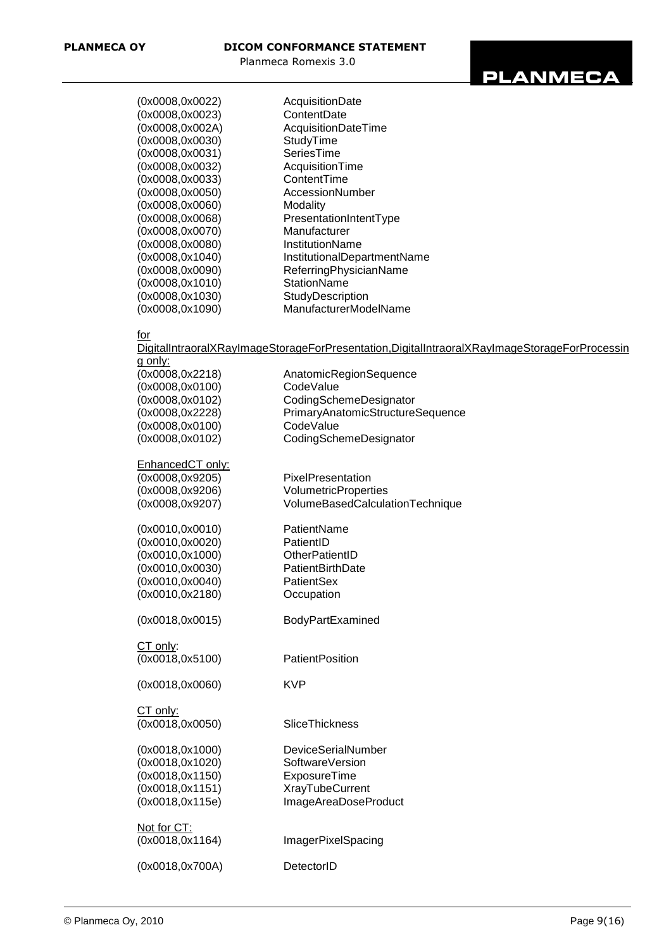

| (0x0008,0x0022)  | AcquisitionDate             |
|------------------|-----------------------------|
| (0x0008,0x0023)  | ContentDate                 |
| (0x0008,0x002A)  | AcquisitionDateTime         |
| (0x0008,0x0030)  | StudyTime                   |
| (0x0008,0x0031)  | SeriesTime                  |
| (0x0008,0x0032)  | AcquisitionTime             |
| (0x0008,0x0033)  | ContentTime                 |
| (0x0008,0x0050)  | AccessionNumber             |
| (0x0008,0x0060)  | Modality                    |
| (0x0008,0x0068)  | PresentationIntentType      |
| (0x0008,0x0070)  | Manufacturer                |
| (0x0008,0x0080)  | InstitutionName             |
| (0x0008, 0x1040) | InstitutionalDepartmentName |
| (0x0008,0x0090)  | ReferringPhysicianName      |
| (0x0008, 0x1010) | StationName                 |
| (0x0008,0x1030)  | StudyDescription            |
| (0x0008, 0x1090) | ManufacturerModelName       |
|                  |                             |

#### for

DigitalIntraoralXRayImageStorageForPresentation,DigitalIntraoralXRayImageStorageForProcessin g only:

| (0x0008, 0x2218)<br>(0x0008,0x0100)<br>(0x0008,0x0102)<br>(0x0008, 0x2228)<br>(0x0008,0x0100)<br>(0x0008,0x0102) | AnatomicRegionSequence<br>CodeValue<br>CodingSchemeDesignator<br>PrimaryAnatomicStructureSequence<br>CodeValue<br>CodingSchemeDesignator |
|------------------------------------------------------------------------------------------------------------------|------------------------------------------------------------------------------------------------------------------------------------------|
| EnhancedCT only:<br>(0x0008, 0x9205)<br>(0x0008,0x9206)<br>(0x0008,0x9207)                                       | PixelPresentation<br>VolumetricProperties<br>VolumeBasedCalculationTechnique                                                             |
| (0x0010, 0x0010)<br>(0x0010,0x0020)<br>(0x0010,0x1000)<br>(0x0010,0x0030)<br>(0x0010, 0x0040)<br>(0x0010,0x2180) | PatientName<br>PatientID<br>OtherPatientID<br>PatientBirthDate<br>PatientSex<br>Occupation                                               |
| (0x0018, 0x0015)                                                                                                 | BodyPartExamined                                                                                                                         |
| $CT$ only:<br>(0x0018, 0x5100)                                                                                   | PatientPosition                                                                                                                          |
| (0x0018,0x0060)                                                                                                  | <b>KVP</b>                                                                                                                               |
| CT only:<br>(0x0018,0x0050)                                                                                      | SliceThickness                                                                                                                           |
| (0x0018, 0x1000)<br>(0x0018, 0x1020)<br>(0x0018, 0x1150)<br>(0x0018, 0x1151)<br>(0x0018, 0x115e)                 | DeviceSerialNumber<br>SoftwareVersion<br>ExposureTime<br><b>XrayTubeCurrent</b><br>ImageAreaDoseProduct                                  |
| Not for CT:<br>(0x0018, 0x1164)                                                                                  | ImagerPixelSpacing                                                                                                                       |
| (0x0018,0x700A)                                                                                                  | DetectorID                                                                                                                               |
|                                                                                                                  |                                                                                                                                          |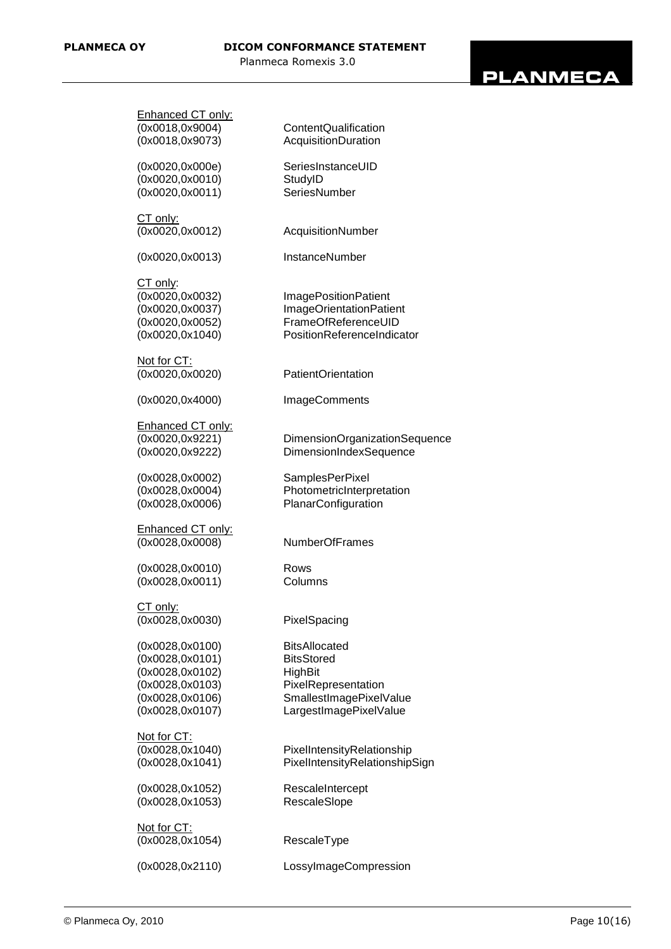# **PLANMECA**

| Enhanced CT only:        |                                |
|--------------------------|--------------------------------|
| (0x0018,0x9004)          | ContentQualification           |
| (0x0018,0x9073)          | AcquisitionDuration            |
|                          |                                |
|                          |                                |
| (0x0020, 0x000e)         | SeriesInstanceUID              |
| (0x0020, 0x0010)         | StudyID                        |
| (0x0020, 0x0011)         | SeriesNumber                   |
|                          |                                |
|                          |                                |
| CT only:                 |                                |
| (0x0020, 0x0012)         | AcquisitionNumber              |
|                          |                                |
| (0x0020, 0x0013)         | InstanceNumber                 |
|                          |                                |
| CT only:                 |                                |
|                          |                                |
| (0x0020,0x0032)          | <b>ImagePositionPatient</b>    |
| (0x0020,0x0037)          | ImageOrientationPatient        |
| (0x0020,0x0052)          | FrameOfReferenceUID            |
| (0x0020, 0x1040)         | PositionReferenceIndicator     |
|                          |                                |
|                          |                                |
| Not for CT:              |                                |
| (0x0020,0x0020)          | <b>PatientOrientation</b>      |
|                          |                                |
| (0x0020, 0x4000)         | <b>ImageComments</b>           |
|                          |                                |
|                          |                                |
| Enhanced CT only:        |                                |
| (0x0020,0x9221)          | DimensionOrganizationSequence  |
| (0x0020,0x9222)          | DimensionIndexSequence         |
|                          |                                |
| (0x0028,0x0002)          | <b>SamplesPerPixel</b>         |
|                          |                                |
| (0x0028,0x0004)          | PhotometricInterpretation      |
| (0x0028,0x0006)          | PlanarConfiguration            |
|                          |                                |
| <b>Enhanced CT only:</b> |                                |
| (0x0028,0x0008)          | <b>NumberOfFrames</b>          |
|                          |                                |
|                          |                                |
| (0x0028, 0x0010)         | Rows                           |
| (0x0028,0x0011)          | Columns                        |
|                          |                                |
| CT only:                 |                                |
|                          |                                |
| (0x0028,0x0030)          | PixelSpacing                   |
|                          |                                |
| (0x0028,0x0100)          | <b>BitsAllocated</b>           |
| (0x0028,0x0101)          | <b>BitsStored</b>              |
| (0x0028,0x0102)          | <b>HighBit</b>                 |
|                          |                                |
| (0x0028,0x0103)          | PixelRepresentation            |
| (0x0028,0x0106)          | SmallestImagePixelValue        |
| (0x0028,0x0107)          | LargestImagePixelValue         |
|                          |                                |
| Not for CT:              |                                |
|                          |                                |
| (0x0028, 0x1040)         | PixelIntensityRelationship     |
| (0x0028, 0x1041)         | PixelIntensityRelationshipSign |
|                          |                                |
| (0x0028,0x1052)          | RescaleIntercept               |
| (0x0028, 0x1053)         |                                |
|                          | RescaleSlope                   |
|                          |                                |
| Not for CT:              |                                |
| (0x0028, 0x1054)         | RescaleType                    |
|                          |                                |
| (0x0028, 0x2110)         | LossylmageCompression          |
|                          |                                |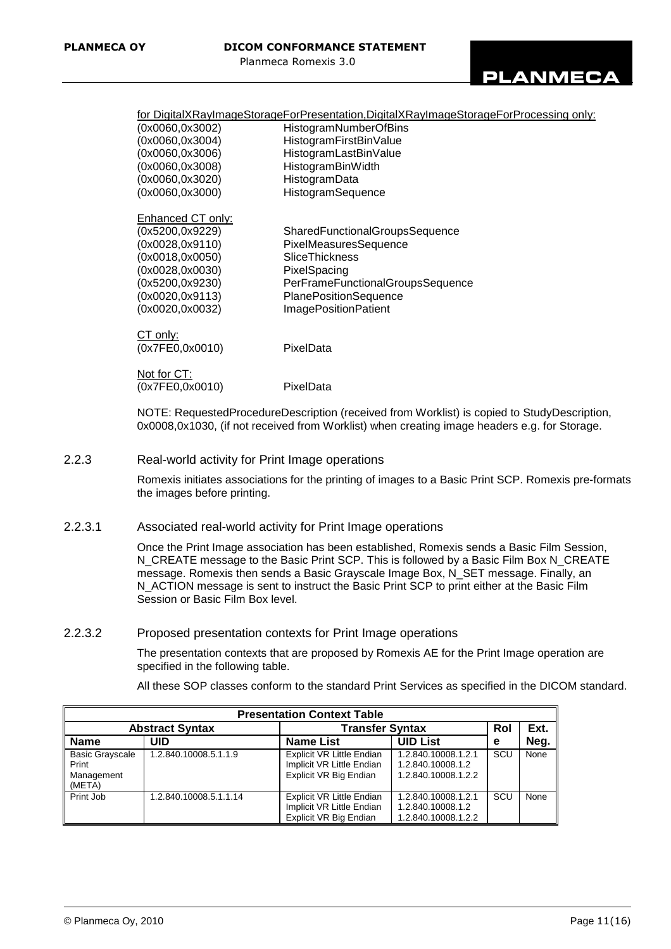for DigitalXRayImageStorageForPresentation,DigitalXRayImageStorageForProcessing only:

| (0x0060,0x3002)                     | HistogramNumberOfBins                 |
|-------------------------------------|---------------------------------------|
| (0x0060,0x3004)                     | HistogramFirstBinValue                |
| (0x0060,0x3006)                     | HistogramLastBinValue                 |
| (0x0060,0x3008)                     | HistogramBinWidth                     |
| (0x0060,0x3020)                     | HistogramData                         |
| (0x0060,0x3000)                     | HistogramSequence                     |
| Enhanced CT only:                   |                                       |
| (0x5200,0x9229)                     | <b>SharedFunctionalGroupsSequence</b> |
| (0x0028,0x9110)                     | PixelMeasuresSequence                 |
| (0x0018,0x0050)                     | SliceThickness                        |
| (0x0028,0x0030)                     | PixelSpacing                          |
| (0x5200,0x9230)                     | PerFrameFunctionalGroupsSequence      |
| (0x0020,0x9113)                     | PlanePositionSequence                 |
| (0x0020,0x0032)                     | <b>ImagePositionPatient</b>           |
|                                     |                                       |
| <u>CT only:</u><br>(0x7FE0, 0x0010) | PixelData                             |
|                                     |                                       |
| Not for CT:                         |                                       |
| (0x7FE0,0x0010)                     | PixelData                             |
|                                     |                                       |

NOTE: RequestedProcedureDescription (received from Worklist) is copied to StudyDescription, 0x0008,0x1030, (if not received from Worklist) when creating image headers e.g. for Storage.

2.2.3 Real-world activity for Print Image operations

Romexis initiates associations for the printing of images to a Basic Print SCP. Romexis pre-formats the images before printing.

2.2.3.1 Associated real-world activity for Print Image operations

Once the Print Image association has been established, Romexis sends a Basic Film Session, N\_CREATE message to the Basic Print SCP. This is followed by a Basic Film Box N\_CREATE message. Romexis then sends a Basic Grayscale Image Box, N\_SET message. Finally, an N\_ACTION message is sent to instruct the Basic Print SCP to print either at the Basic Film Session or Basic Film Box level.

2.2.3.2 Proposed presentation contexts for Print Image operations

The presentation contexts that are proposed by Romexis AE for the Print Image operation are specified in the following table.

All these SOP classes conform to the standard Print Services as specified in the DICOM standard.

| <b>Presentation Context Table</b>                       |                        |                                                                                         |                                                                 |     |      |  |
|---------------------------------------------------------|------------------------|-----------------------------------------------------------------------------------------|-----------------------------------------------------------------|-----|------|--|
| <b>Abstract Syntax</b>                                  |                        | <b>Transfer Syntax</b>                                                                  |                                                                 | Rol | Ext. |  |
| <b>Name</b>                                             | <b>UID</b>             | <b>Name List</b>                                                                        | <b>UID List</b>                                                 | е   | Neg. |  |
| <b>Basic Grayscale</b><br>Print<br>Management<br>(META) | 1.2.840.10008.5.1.1.9  | <b>Explicit VR Little Endian</b><br>Implicit VR Little Endian<br>Explicit VR Big Endian | 1.2.840.10008.1.2.1<br>1.2.840.10008.1.2<br>1.2.840.10008.1.2.2 | SCU | None |  |
| Print Job                                               | 1.2.840.10008.5.1.1.14 | <b>Explicit VR Little Endian</b><br>Implicit VR Little Endian<br>Explicit VR Big Endian | 1.2.840.10008.1.2.1<br>1.2.840.10008.1.2<br>1.2.840.10008.1.2.2 | SCU | None |  |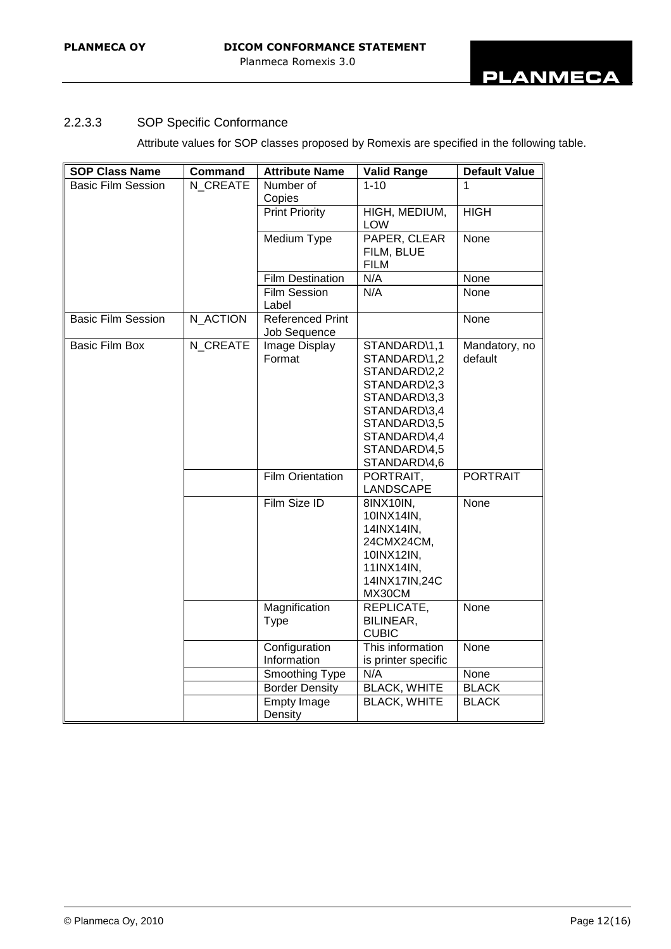# 2.2.3.3 SOP Specific Conformance

Attribute values for SOP classes proposed by Romexis are specified in the following table.

| <b>SOP Class Name</b>     | <b>Command</b> | <b>Attribute Name</b>                   | <b>Valid Range</b>                                                                                                                                           | <b>Default Value</b>     |
|---------------------------|----------------|-----------------------------------------|--------------------------------------------------------------------------------------------------------------------------------------------------------------|--------------------------|
| <b>Basic Film Session</b> | N CREATE       | Number of                               | $\overline{1-10}$                                                                                                                                            | $\mathbf 1$              |
|                           |                | Copies                                  |                                                                                                                                                              |                          |
|                           |                | <b>Print Priority</b>                   | HIGH, MEDIUM,<br><b>LOW</b>                                                                                                                                  | <b>HIGH</b>              |
|                           |                | Medium Type                             | PAPER, CLEAR<br>FILM, BLUE<br><b>FILM</b>                                                                                                                    | None                     |
|                           |                | <b>Film Destination</b>                 | N/A                                                                                                                                                          | None                     |
|                           |                | <b>Film Session</b><br>Label            | N/A                                                                                                                                                          | None                     |
| <b>Basic Film Session</b> | N ACTION       | <b>Referenced Print</b><br>Job Sequence |                                                                                                                                                              | None                     |
| <b>Basic Film Box</b>     | N CREATE       | Image Display<br>Format                 | STANDARD\1,1<br>STANDARD\1,2<br>STANDARD\2,2<br>STANDARD\2,3<br>STANDARD\3,3<br>STANDARD\3,4<br>STANDARD\3,5<br>STANDARD\4,4<br>STANDARD\4,5<br>STANDARD\4,6 | Mandatory, no<br>default |
|                           |                | <b>Film Orientation</b>                 | PORTRAIT,<br>LANDSCAPE                                                                                                                                       | <b>PORTRAIT</b>          |
|                           |                | Film Size ID                            | 8INX10IN,<br>10INX14IN,<br>14INX14IN,<br>24CMX24CM,<br>10INX12IN,<br>11INX14IN,<br>14INX17IN,24C<br>MX30CM                                                   | None                     |
|                           |                | Magnification<br>Type                   | REPLICATE,<br>BILINEAR,<br><b>CUBIC</b>                                                                                                                      | None                     |
|                           |                | Configuration<br>Information            | This information<br>is printer specific                                                                                                                      | None                     |
|                           |                | Smoothing Type                          | N/A                                                                                                                                                          | None                     |
|                           |                | <b>Border Density</b>                   | <b>BLACK, WHITE</b>                                                                                                                                          | <b>BLACK</b>             |
|                           |                | <b>Empty Image</b><br>Density           | <b>BLACK, WHITE</b>                                                                                                                                          | <b>BLACK</b>             |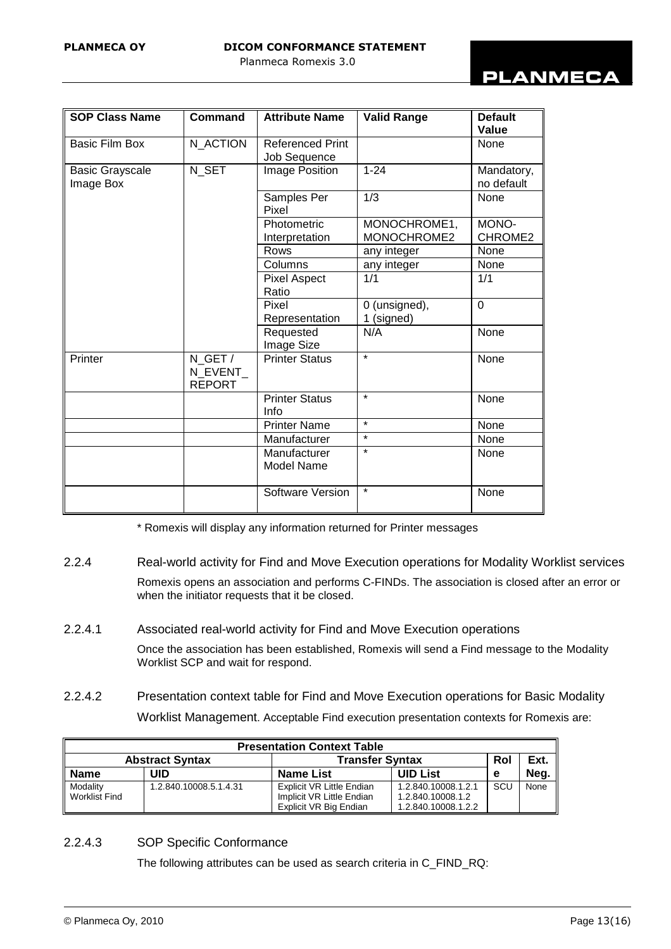# **PLANMECA**

| <b>SOP Class Name</b>               | <b>Command</b>                      | <b>Attribute Name</b>                   | <b>Valid Range</b>          | <b>Default</b><br>Value  |
|-------------------------------------|-------------------------------------|-----------------------------------------|-----------------------------|--------------------------|
| <b>Basic Film Box</b>               | N_ACTION                            | <b>Referenced Print</b><br>Job Sequence |                             | None                     |
| <b>Basic Grayscale</b><br>Image Box | N_SET                               | Image Position                          | $1 - 24$                    | Mandatory,<br>no default |
|                                     |                                     | Samples Per<br>Pixel                    | 1/3                         | None                     |
|                                     |                                     | Photometric<br>Interpretation           | MONOCHROME1,<br>MONOCHROME2 | MONO-<br>CHROME2         |
|                                     |                                     | Rows                                    | any integer                 | None                     |
|                                     |                                     | Columns                                 | any integer                 | None                     |
|                                     |                                     | <b>Pixel Aspect</b><br>Ratio            | 1/1                         | 1/1                      |
|                                     |                                     | Pixel<br>Representation                 | 0 (unsigned),<br>1 (signed) | $\overline{0}$           |
|                                     |                                     | Requested<br>Image Size                 | N/A                         | None                     |
| Printer                             | N_GET /<br>N EVENT<br><b>REPORT</b> | <b>Printer Status</b>                   | $\star$                     | None                     |
|                                     |                                     | <b>Printer Status</b><br>Info           | $\star$                     | None                     |
|                                     |                                     | <b>Printer Name</b>                     | $\star$                     | None                     |
|                                     |                                     | Manufacturer                            | $\star$                     | None                     |
|                                     |                                     | Manufacturer<br><b>Model Name</b>       | $\star$                     | None                     |
|                                     |                                     | Software Version                        | $\star$                     | None                     |

\* Romexis will display any information returned for Printer messages

2.2.4 Real-world activity for Find and Move Execution operations for Modality Worklist services

Romexis opens an association and performs C-FINDs. The association is closed after an error or when the initiator requests that it be closed.

2.2.4.1 Associated real-world activity for Find and Move Execution operations

Once the association has been established, Romexis will send a Find message to the Modality Worklist SCP and wait for respond.

2.2.4.2 Presentation context table for Find and Move Execution operations for Basic Modality Worklist Management. Acceptable Find execution presentation contexts for Romexis are:

| <b>Presentation Context Table</b> |                                                  |                                                                                  |                                                                 |            |      |
|-----------------------------------|--------------------------------------------------|----------------------------------------------------------------------------------|-----------------------------------------------------------------|------------|------|
|                                   | <b>Abstract Syntax</b><br><b>Transfer Syntax</b> |                                                                                  | Rol                                                             | Ext.       |      |
| <b>Name</b>                       | UID                                              | <b>Name List</b>                                                                 | <b>UID List</b>                                                 | е          | Neg. |
| Modality<br>Worklist Find         | 1.2.840.10008.5.1.4.31                           | Explicit VR Little Endian<br>Implicit VR Little Endian<br>Explicit VR Big Endian | 1.2.840.10008.1.2.1<br>1.2.840.10008.1.2<br>1.2.840.10008.1.2.2 | <b>SCU</b> | None |

### 2.2.4.3 SOP Specific Conformance

The following attributes can be used as search criteria in C\_FIND\_RQ: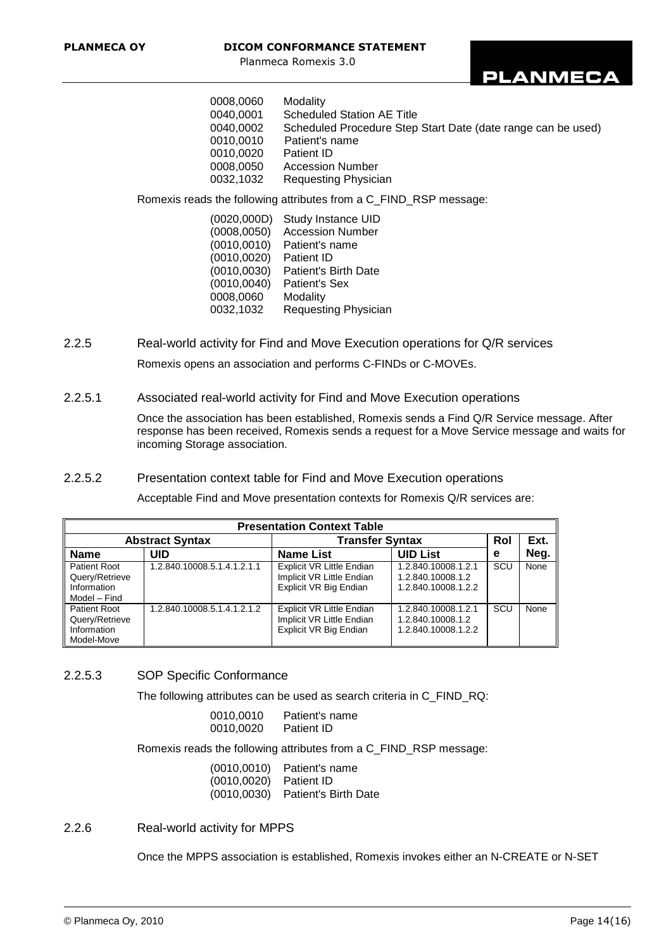

| 0008,0060 | Modality                                                     |
|-----------|--------------------------------------------------------------|
| 0040.0001 | <b>Scheduled Station AE Title</b>                            |
| 0040.0002 | Scheduled Procedure Step Start Date (date range can be used) |
| 0010.0010 | Patient's name                                               |
| 0010.0020 | Patient ID                                                   |
| 0008,0050 | <b>Accession Number</b>                                      |
| 0032,1032 | Requesting Physician                                         |
|           |                                                              |

Romexis reads the following attributes from a C\_FIND\_RSP message:

 (0020,000D) Study Instance UID (0008,0050) Accession Number (0010,0010) Patient's name (0010,0020) Patient ID (0010,0030) Patient's Birth Date (0010,0040) Patient's Sex 0008,0060 Modality 0032,1032 Requesting Physician

2.2.5 Real-world activity for Find and Move Execution operations for Q/R services Romexis opens an association and performs C-FINDs or C-MOVEs.

2.2.5.1 Associated real-world activity for Find and Move Execution operations

Once the association has been established, Romexis sends a Find Q/R Service message. After response has been received, Romexis sends a request for a Move Service message and waits for incoming Storage association.

#### 2.2.5.2 Presentation context table for Find and Move Execution operations

Acceptable Find and Move presentation contexts for Romexis Q/R services are:

| <b>Presentation Context Table</b>                                    |                             |                                                                                  |                                                                 |     |      |
|----------------------------------------------------------------------|-----------------------------|----------------------------------------------------------------------------------|-----------------------------------------------------------------|-----|------|
|                                                                      | <b>Abstract Syntax</b>      | <b>Transfer Syntax</b>                                                           |                                                                 | Rol | Ext. |
| <b>Name</b>                                                          | UID                         | <b>Name List</b>                                                                 | <b>UID List</b>                                                 | е   | Neg. |
| <b>Patient Root</b><br>Query/Retrieve<br>Information<br>Model - Find | 1.2.840.10008.5.1.4.1.2.1.1 | Explicit VR Little Endian<br>Implicit VR Little Endian<br>Explicit VR Big Endian | 1.2.840.10008.1.2.1<br>1.2.840.10008.1.2<br>1.2.840.10008.1.2.2 | SCU | None |
| <b>Patient Root</b><br>Query/Retrieve<br>Information<br>Model-Move   | 1.2.840.10008.5.1.4.1.2.1.2 | Explicit VR Little Endian<br>Implicit VR Little Endian<br>Explicit VR Big Endian | 1.2.840.10008.1.2.1<br>1.2.840.10008.1.2<br>1.2.840.10008.1.2.2 | scu | None |

#### 2.2.5.3 SOP Specific Conformance

The following attributes can be used as search criteria in C\_FIND\_RQ:

| 0010.0010 | Patient's name    |
|-----------|-------------------|
| 0010,0020 | <b>Patient ID</b> |

Romexis reads the following attributes from a C\_FIND\_RSP message:

| (0010, 0010)           | Patient's name                     |
|------------------------|------------------------------------|
| (0010,0020) Patient ID |                                    |
|                        | $(0010,0030)$ Patient's Birth Date |

#### 2.2.6 Real-world activity for MPPS

Once the MPPS association is established, Romexis invokes either an N-CREATE or N-SET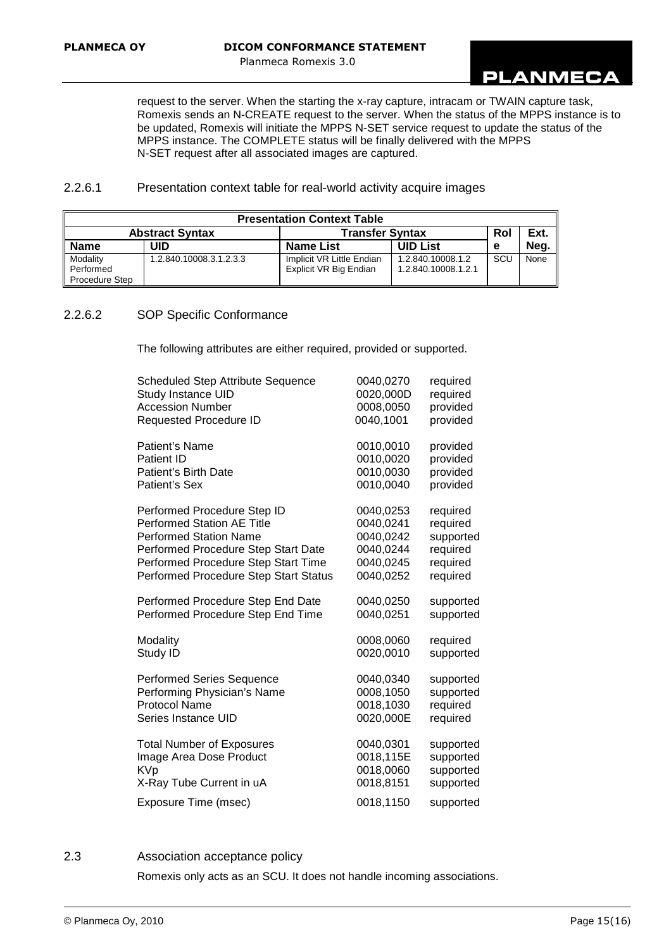

request to the server. When the starting the x-ray capture, intracam or TWAIN capture task, Romexis sends an N-CREATE request to the server. When the status of the MPPS instance is to be updated, Romexis will initiate the MPPS N-SET service request to update the status of the MPPS instance. The COMPLETE status will be finally delivered with the MPPS N-SET request after all associated images are captured.

#### 2.2.6.1 Presentation context table for real-world activity acquire images

| <b>Presentation Context Table</b>       |                         |                                                     |                                          |     |      |
|-----------------------------------------|-------------------------|-----------------------------------------------------|------------------------------------------|-----|------|
|                                         | <b>Abstract Syntax</b>  | <b>Transfer Syntax</b>                              |                                          | Rol | Ext. |
| <b>Name</b>                             | UID                     | <b>Name List</b>                                    | <b>UID List</b>                          | е   | Neg. |
| Modality<br>Performed<br>Procedure Step | 1.2.840.10008.3.1.2.3.3 | Implicit VR Little Endian<br>Explicit VR Big Endian | 1.2.840.10008.1.2<br>1.2.840.10008.1.2.1 | SCU | None |

# 2.2.6.2 SOP Specific Conformance

The following attributes are either required, provided or supported.

| <b>Scheduled Step Attribute Sequence</b> | 0040,0270 | required  |
|------------------------------------------|-----------|-----------|
| Study Instance UID                       | 0020,000D | required  |
| <b>Accession Number</b>                  | 0008,0050 | provided  |
| <b>Requested Procedure ID</b>            | 0040,1001 | provided  |
| Patient's Name                           | 0010,0010 | provided  |
| <b>Patient ID</b>                        | 0010,0020 | provided  |
| Patient's Birth Date                     | 0010,0030 | provided  |
| Patient's Sex                            | 0010,0040 | provided  |
| Performed Procedure Step ID              | 0040,0253 | required  |
| <b>Performed Station AE Title</b>        | 0040,0241 | required  |
| <b>Performed Station Name</b>            | 0040,0242 | supported |
| Performed Procedure Step Start Date      | 0040,0244 | required  |
| Performed Procedure Step Start Time      | 0040,0245 | required  |
| Performed Procedure Step Start Status    | 0040,0252 | required  |
| Performed Procedure Step End Date        | 0040,0250 | supported |
| Performed Procedure Step End Time        | 0040,0251 | supported |
| Modality                                 | 0008,0060 | required  |
| Study ID                                 | 0020,0010 | supported |
| <b>Performed Series Sequence</b>         | 0040,0340 | supported |
| Performing Physician's Name              | 0008,1050 | supported |
| <b>Protocol Name</b>                     | 0018,1030 | required  |
| Series Instance UID                      | 0020,000E | required  |
| <b>Total Number of Exposures</b>         | 0040,0301 | supported |
| Image Area Dose Product                  | 0018,115E | supported |
| <b>KVp</b>                               | 0018,0060 | supported |
| X-Ray Tube Current in uA                 | 0018,8151 | supported |
| Exposure Time (msec)                     | 0018,1150 | supported |

#### 2.3 Association acceptance policy

Romexis only acts as an SCU. It does not handle incoming associations.